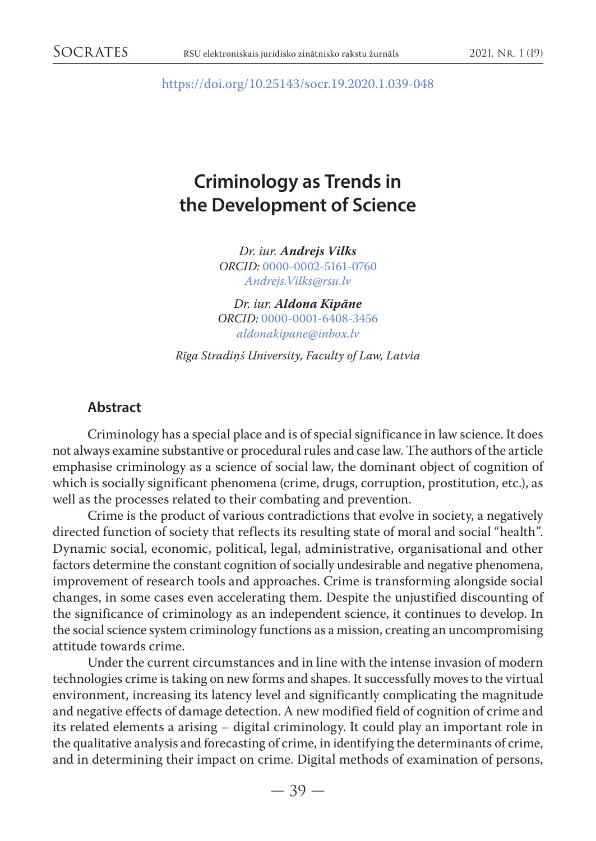<https://doi.org/10.25143/socr.19.2020.1.039-048>

# **Criminology as Trends in the Development of Science**

*Dr. iur. Andrejs Vilks ORCID:* [0000-0002-5161-0760](https://orcid.org/0000-0002-5161-0760) *[Andrejs.Vilks@rsu.lv](mailto:Andrejs.Vilks@rsu.lv)*

*Dr. iur. Aldona Kipāne ORCID:* [0000-0001-6408-3456](https://orcid.org/0000-0001-6408-3456) *[aldonakipane@inbox.lv](mailto:aldonakipane@inbox.lv)*

*Rīga Stradiņš University, Faculty of Law, Latvia*

### **Abstract**

Criminology has a special place and is of special significance in law science. It does not always examine substantive or procedural rules and case law. The authors of the article emphasise criminology as a science of social law, the dominant object of cognition of which is socially significant phenomena (crime, drugs, corruption, prostitution, etc.), as well as the processes related to their combating and prevention.

Crime is the product of various contradictions that evolve in society, a negatively directed function of society that reflects its resulting state of moral and social "health". Dynamic social, economic, political, legal, administrative, organisational and other factors determine the constant cognition of socially undesirable and negative phenomena, improvement of research tools and approaches. Crime is transforming alongside social changes, in some cases even accelerating them. Despite the unjustified discounting of the significance of criminology as an independent science, it continues to develop. In the social science system criminology functions as a mission, creating an uncompromising attitude towards crime.

Under the current circumstances and in line with the intense invasion of modern technologies crime is taking on new forms and shapes. It successfully moves to the virtual environment, increasing its latency level and significantly complicating the magnitude and negative effects of damage detection. A new modified field of cognition of crime and its related elements a arising – digital criminology. It could play an important role in the qualitative analysis and forecasting of crime, in identifying the determinants of crime, and in determining their impact on crime. Digital methods of examination of persons,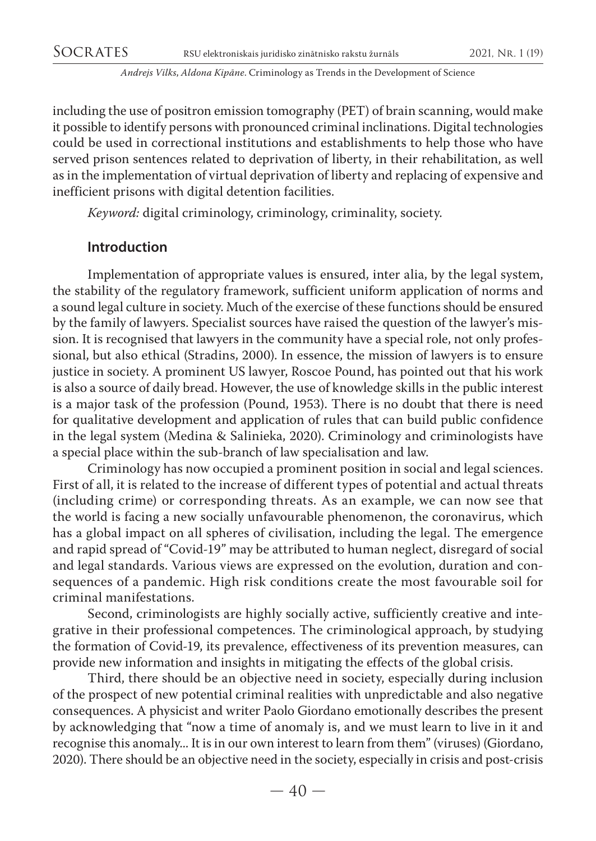including the use of positron emission tomography (PET) of brain scanning, would make it possible to identify persons with pronounced criminal inclinations. Digital technologies could be used in correctional institutions and establishments to help those who have served prison sentences related to deprivation of liberty, in their rehabilitation, as well as in the implementation of virtual deprivation of liberty and replacing of expensive and inefficient prisons with digital detention facilities.

*Keyword:* digital criminology, criminology, criminality, society.

### **Introduction**

Implementation of appropriate values is ensured, inter alia, by the legal system, the stability of the regulatory framework, sufficient uniform application of norms and a sound legal culture in society. Much of the exercise of these functions should be ensured by the family of lawyers. Specialist sources have raised the question of the lawyer's mission. It is recognised that lawyers in the community have a special role, not only professional, but also ethical (Stradins, 2000). In essence, the mission of lawyers is to ensure justice in society. A prominent US lawyer, Roscoe Pound, has pointed out that his work is also a source of daily bread. However, the use of knowledge skills in the public interest is a major task of the profession (Pound, 1953). There is no doubt that there is need for qualitative development and application of rules that can build public confidence in the legal system (Medina & Salinieka, 2020). Criminology and criminologists have a special place within the sub-branch of law specialisation and law.

Criminology has now occupied a prominent position in social and legal sciences. First of all, it is related to the increase of different types of potential and actual threats (including crime) or corresponding threats. As an example, we can now see that the world is facing a new socially unfavourable phenomenon, the coronavirus, which has a global impact on all spheres of civilisation, including the legal. The emergence and rapid spread of "Covid-19" may be attributed to human neglect, disregard of social and legal standards. Various views are expressed on the evolution, duration and consequences of a pandemic. High risk conditions create the most favourable soil for criminal manifestations.

Second, criminologists are highly socially active, sufficiently creative and integrative in their professional competences. The criminological approach, by studying the formation of Covid-19, its prevalence, effectiveness of its prevention measures, can provide new information and insights in mitigating the effects of the global crisis.

Third, there should be an objective need in society, especially during inclusion of the prospect of new potential criminal realities with unpredictable and also negative consequences. A physicist and writer Paolo Giordano emotionally describes the present by acknowledging that "now a time of anomaly is, and we must learn to live in it and recognise this anomaly... It is in our own interest to learn from them" (viruses) (Giordano, 2020). There should be an objective need in the society, especially in crisis and post-crisis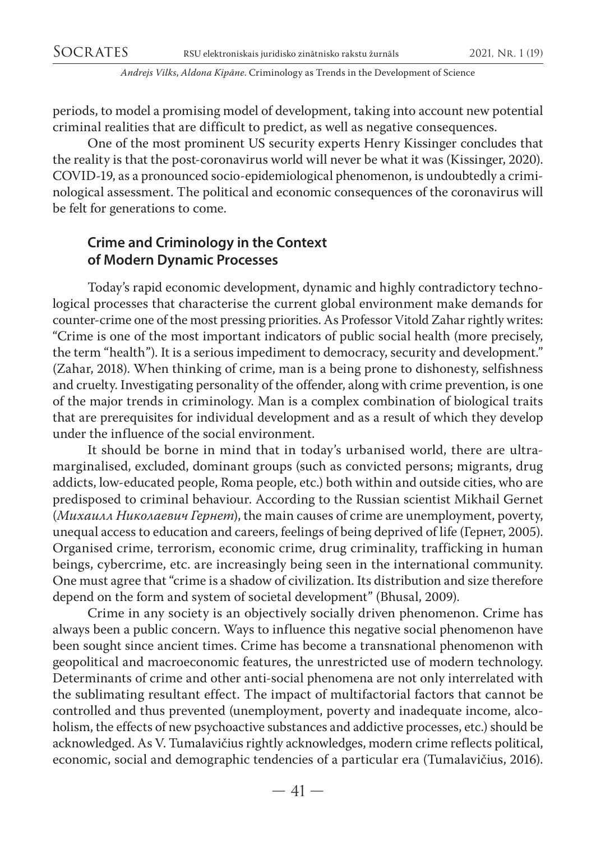periods, to model a promising model of development, taking into account new potential criminal realities that are difficult to predict, as well as negative consequences.

One of the most prominent US security experts Henry Kissinger concludes that the reality is that the post-coronavirus world will never be what it was (Kissinger, 2020). COVID-19, as a pronounced socio-epidemiological phenomenon, is undoubtedly a criminological assessment. The political and economic consequences of the coronavirus will be felt for generations to come.

# **Crime and Criminology in the Context of Modern Dynamic Processes**

Today's rapid economic development, dynamic and highly contradictory technological processes that characterise the current global environment make demands for counter-crime one of the most pressing priorities. As Professor Vitold Zahar rightly writes: "Crime is one of the most important indicators of public social health (more precisely, the term "health"). It is a serious impediment to democracy, security and development." (Zahar, 2018). When thinking of crime, man is a being prone to dishonesty, selfishness and cruelty. Investigating personality of the offender, along with crime prevention, is one of the major trends in criminology. Man is a complex combination of biological traits that are prerequisites for individual development and as a result of which they develop under the influence of the social environment.

It should be borne in mind that in today's urbanised world, there are ultramarginalised, excluded, dominant groups (such as convicted persons; migrants, drug addicts, low-educated people, Roma people, etc.) both within and outside cities, who are predisposed to criminal behaviour. According to the Russian scientist Mikhail Gernet (*Михаилл Николaевич Гернет*), the main causes of crime are unemployment, poverty, unequal access to education and careers, feelings of being deprived of life (Гернет, 2005). Organised crime, terrorism, economic crime, drug criminality, trafficking in human beings, cybercrime, etc. are increasingly being seen in the international community. One must agree that "crime is a shadow of civilization. Its distribution and size therefore depend on the form and system of societal development" (Bhusal, 2009).

Crime in any society is an objectively socially driven phenomenon. Crime has always been a public concern. Ways to influence this negative social phenomenon have been sought since ancient times. Crime has become a transnational phenomenon with geopolitical and macroeconomic features, the unrestricted use of modern technology. Determinants of crime and other anti-social phenomena are not only interrelated with the sublimating resultant effect. The impact of multifactorial factors that cannot be controlled and thus prevented (unemployment, poverty and inadequate income, alcoholism, the effects of new psychoactive substances and addictive processes, etc.) should be acknowledged. As V. Tumalavičius rightly acknowledges, modern crime reflects political, economic, social and demographic tendencies of a particular era (Tumalavičius, 2016).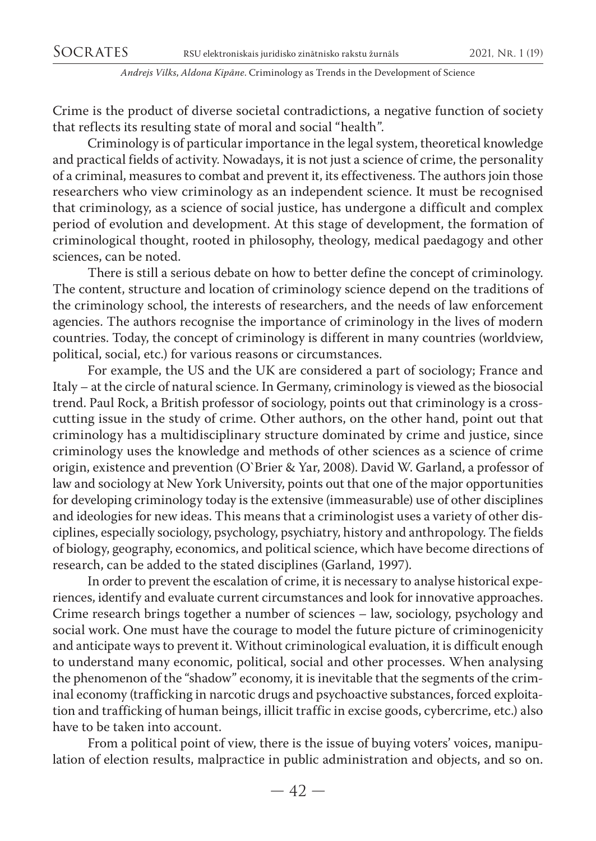Crime is the product of diverse societal contradictions, a negative function of society that reflects its resulting state of moral and social "health".

Criminology is of particular importance in the legal system, theoretical knowledge and practical fields of activity. Nowadays, it is not just a science of crime, the personality of a criminal, measures to combat and prevent it, its effectiveness. The authors join those researchers who view criminology as an independent science. It must be recognised that criminology, as a science of social justice, has undergone a difficult and complex period of evolution and development. At this stage of development, the formation of criminological thought, rooted in philosophy, theology, medical paedagogy and other sciences, can be noted.

There is still a serious debate on how to better define the concept of criminology. The content, structure and location of criminology science depend on the traditions of the criminology school, the interests of researchers, and the needs of law enforcement agencies. The authors recognise the importance of criminology in the lives of modern countries. Today, the concept of criminology is different in many countries (worldview, political, social, etc.) for various reasons or circumstances.

For example, the US and the UK are considered a part of sociology; France and Italy – at the circle of natural science. In Germany, criminology is viewed as the biosocial trend. Paul Rock, a British professor of sociology, points out that criminology is a crosscutting issue in the study of crime. Other authors, on the other hand, point out that criminology has a multidisciplinary structure dominated by crime and justice, since criminology uses the knowledge and methods of other sciences as a science of crime origin, existence and prevention (O`Brier & Yar, 2008). David W. Garland, a professor of law and sociology at New York University, points out that one of the major opportunities for developing criminology today is the extensive (immeasurable) use of other disciplines and ideologies for new ideas. This means that a criminologist uses a variety of other disciplines, especially sociology, psychology, psychiatry, history and anthropology. The fields of biology, geography, economics, and political science, which have become directions of research, can be added to the stated disciplines (Garland, 1997).

In order to prevent the escalation of crime, it is necessary to analyse historical experiences, identify and evaluate current circumstances and look for innovative approaches. Crime research brings together a number of sciences – law, sociology, psychology and social work. One must have the courage to model the future picture of criminogenicity and anticipate ways to prevent it. Without criminological evaluation, it is difficult enough to understand many economic, political, social and other processes. When analysing the phenomenon of the "shadow" economy, it is inevitable that the segments of the criminal economy (trafficking in narcotic drugs and psychoactive substances, forced exploitation and trafficking of human beings, illicit traffic in excise goods, cybercrime, etc.) also have to be taken into account.

From a political point of view, there is the issue of buying voters' voices, manipulation of election results, malpractice in public administration and objects, and so on.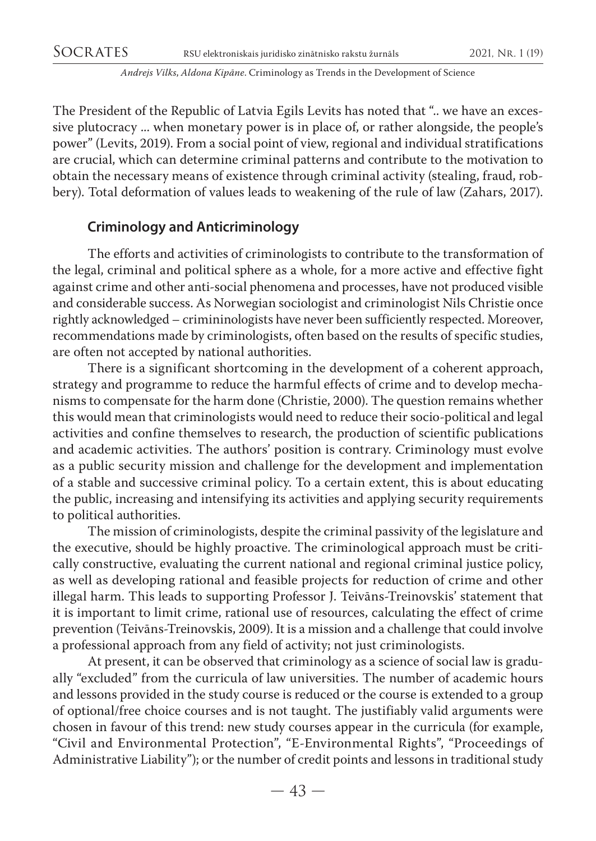The President of the Republic of Latvia Egils Levits has noted that ".. we have an excessive plutocracy ... when monetary power is in place of, or rather alongside, the people's power" (Levits, 2019). From a social point of view, regional and individual stratifications are crucial, which can determine criminal patterns and contribute to the motivation to obtain the necessary means of existence through criminal activity (stealing, fraud, robbery). Total deformation of values leads to weakening of the rule of law (Zahars, 2017).

### **Criminology and Anticriminology**

The efforts and activities of criminologists to contribute to the transformation of the legal, criminal and political sphere as a whole, for a more active and effective fight against crime and other anti-social phenomena and processes, have not produced visible and considerable success. As Norwegian sociologist and criminologist Nils Christie once rightly acknowledged – crimininologists have never been sufficiently respected. Moreover, recommendations made by criminologists, often based on the results of specific studies, are often not accepted by national authorities.

There is a significant shortcoming in the development of a coherent approach, strategy and programme to reduce the harmful effects of crime and to develop mechanisms to compensate for the harm done (Christie, 2000). The question remains whether this would mean that criminologists would need to reduce their socio-political and legal activities and confine themselves to research, the production of scientific publications and academic activities. The authors' position is contrary. Criminology must evolve as a public security mission and challenge for the development and implementation of a stable and successive criminal policy. To a certain extent, this is about educating the public, increasing and intensifying its activities and applying security requirements to political authorities.

The mission of criminologists, despite the criminal passivity of the legislature and the executive, should be highly proactive. The criminological approach must be critically constructive, evaluating the current national and regional criminal justice policy, as well as developing rational and feasible projects for reduction of crime and other illegal harm. This leads to supporting Professor J. Teivāns-Treinovskis' statement that it is important to limit crime, rational use of resources, calculating the effect of crime prevention (Teivāns-Treinovskis, 2009). It is a mission and a challenge that could involve a professional approach from any field of activity; not just criminologists.

At present, it can be observed that criminology as a science of social law is gradually "excluded" from the curricula of law universities. The number of academic hours and lessons provided in the study course is reduced or the course is extended to a group of optional/free choice courses and is not taught. The justifiably valid arguments were chosen in favour of this trend: new study courses appear in the curricula (for example, "Civil and Environmental Protection", "E-Environmental Rights", "Proceedings of Administrative Liability"); or the number of credit points and lessons in traditional study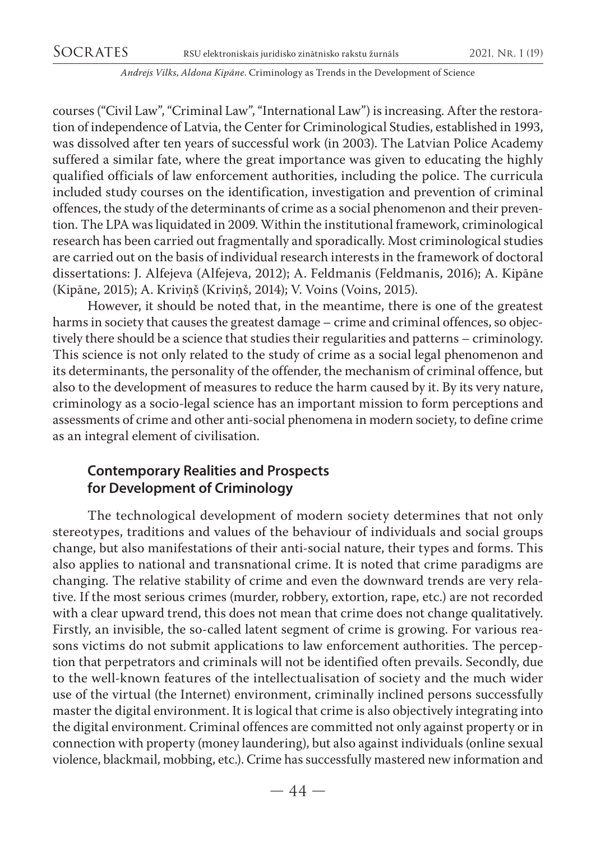courses ("Civil Law", "Criminal Law", "International Law") is increasing. After the restoration of independence of Latvia, the Center for Criminological Studies, established in 1993, was dissolved after ten years of successful work (in 2003). The Latvian Police Academy suffered a similar fate, where the great importance was given to educating the highly qualified officials of law enforcement authorities, including the police. The curricula included study courses on the identification, investigation and prevention of criminal offences, the study of the determinants of crime as a social phenomenon and their prevention. The LPA was liquidated in 2009. Within the institutional framework, criminological research has been carried out fragmentally and sporadically. Most criminological studies are carried out on the basis of individual research interests in the framework of doctoral dissertations: J. Alfejeva (Alfejeva, 2012); A. Feldmanis (Feldmanis, 2016); A. Kipāne (Kipāne, 2015); A. Kriviņš (Kriviņš, 2014); V. Voins (Voins, 2015).

However, it should be noted that, in the meantime, there is one of the greatest harms in society that causes the greatest damage – crime and criminal offences, so objectively there should be a science that studies their regularities and patterns – criminology. This science is not only related to the study of crime as a social legal phenomenon and its determinants, the personality of the offender, the mechanism of criminal offence, but also to the development of measures to reduce the harm caused by it. By its very nature, criminology as a socio-legal science has an important mission to form perceptions and assessments of crime and other anti-social phenomena in modern society, to define crime as an integral element of civilisation.

### **Contemporary Realities and Prospects for Development of Criminology**

The technological development of modern society determines that not only stereotypes, traditions and values of the behaviour of individuals and social groups change, but also manifestations of their anti-social nature, their types and forms. This also applies to national and transnational crime. It is noted that crime paradigms are changing. The relative stability of crime and even the downward trends are very relative. If the most serious crimes (murder, robbery, extortion, rape, etc.) are not recorded with a clear upward trend, this does not mean that crime does not change qualitatively. Firstly, an invisible, the so-called latent segment of crime is growing. For various reasons victims do not submit applications to law enforcement authorities. The perception that perpetrators and criminals will not be identified often prevails. Secondly, due to the well-known features of the intellectualisation of society and the much wider use of the virtual (the Internet) environment, criminally inclined persons successfully master the digital environment. It is logical that crime is also objectively integrating into the digital environment. Criminal offences are committed not only against property or in connection with property (money laundering), but also against individuals (online sexual violence, blackmail, mobbing, etc.). Crime has successfully mastered new information and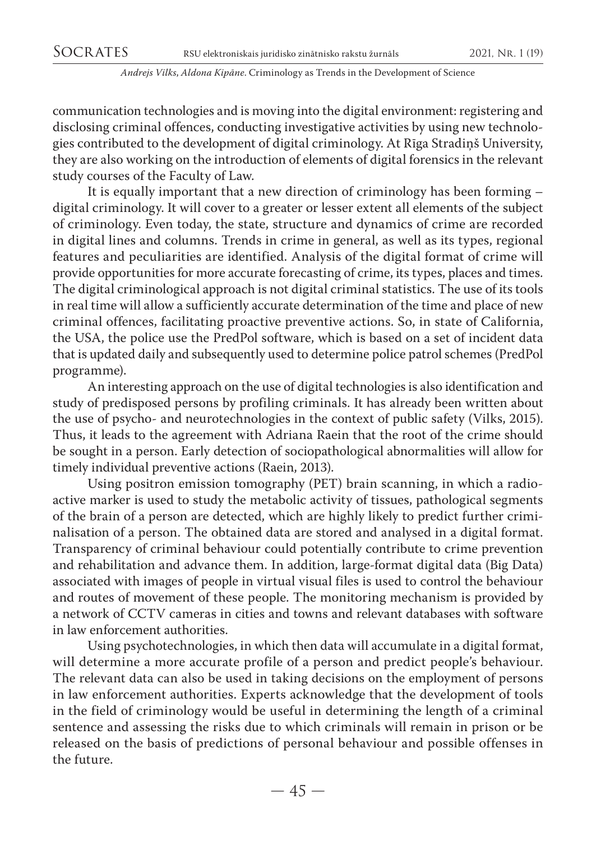communication technologies and is moving into the digital environment: registering and disclosing criminal offences, conducting investigative activities by using new technologies contributed to the development of digital criminology. At Rīga Stradiņš University, they are also working on the introduction of elements of digital forensics in the relevant study courses of the Faculty of Law.

It is equally important that a new direction of criminology has been forming – digital criminology. It will cover to a greater or lesser extent all elements of the subject of criminology. Even today, the state, structure and dynamics of crime are recorded in digital lines and columns. Trends in crime in general, as well as its types, regional features and peculiarities are identified. Analysis of the digital format of crime will provide opportunities for more accurate forecasting of crime, its types, places and times. The digital criminological approach is not digital criminal statistics. The use of its tools in real time will allow a sufficiently accurate determination of the time and place of new criminal offences, facilitating proactive preventive actions. So, in state of California, the USA, the police use the PredPol software, which is based on a set of incident data that is updated daily and subsequently used to determine police patrol schemes (PredPol programme).

An interesting approach on the use of digital technologies is also identification and study of predisposed persons by profiling criminals. It has already been written about the use of psycho- and neurotechnologies in the context of public safety (Vilks, 2015). Thus, it leads to the agreement with Adriana Raein that the root of the crime should be sought in a person. Early detection of sociopathological abnormalities will allow for timely individual preventive actions (Raein, 2013).

Using positron emission tomography (PET) brain scanning, in which a radioactive marker is used to study the metabolic activity of tissues, pathological segments of the brain of a person are detected, which are highly likely to predict further criminalisation of a person. The obtained data are stored and analysed in a digital format. Transparency of criminal behaviour could potentially contribute to crime prevention and rehabilitation and advance them. In addition, large-format digital data (Big Data) associated with images of people in virtual visual files is used to control the behaviour and routes of movement of these people. The monitoring mechanism is provided by a network of CCTV cameras in cities and towns and relevant databases with software in law enforcement authorities.

Using psychotechnologies, in which then data will accumulate in a digital format, will determine a more accurate profile of a person and predict people's behaviour. The relevant data can also be used in taking decisions on the employment of persons in law enforcement authorities. Experts acknowledge that the development of tools in the field of criminology would be useful in determining the length of a criminal sentence and assessing the risks due to which criminals will remain in prison or be released on the basis of predictions of personal behaviour and possible offenses in the future.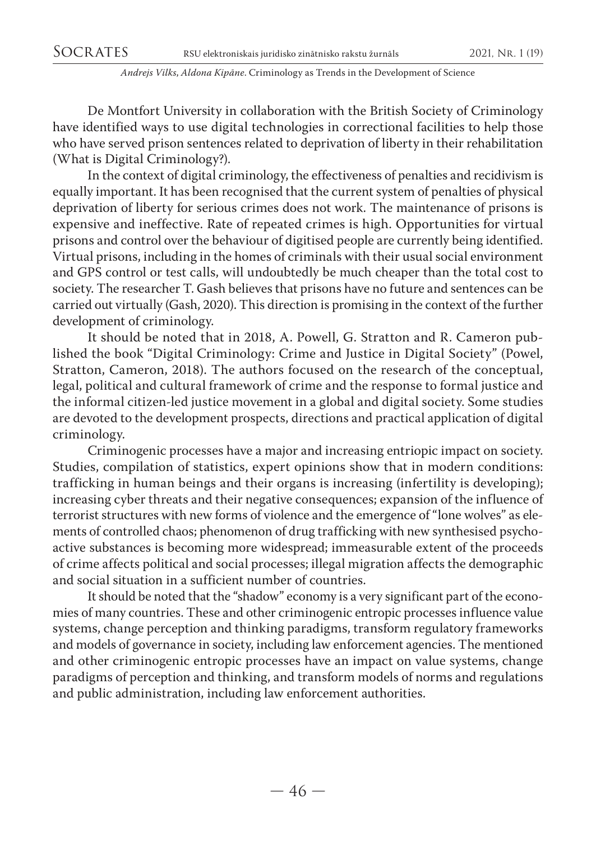De Montfort University in collaboration with the British Society of Criminology have identified ways to use digital technologies in correctional facilities to help those who have served prison sentences related to deprivation of liberty in their rehabilitation (What is Digital Criminology?).

In the context of digital criminology, the effectiveness of penalties and recidivism is equally important. It has been recognised that the current system of penalties of physical deprivation of liberty for serious crimes does not work. The maintenance of prisons is expensive and ineffective. Rate of repeated crimes is high. Opportunities for virtual prisons and control over the behaviour of digitised people are currently being identified. Virtual prisons, including in the homes of criminals with their usual social environment and GPS control or test calls, will undoubtedly be much cheaper than the total cost to society. The researcher T. Gash believes that prisons have no future and sentences can be carried out virtually (Gash, 2020). This direction is promising in the context of the further development of criminology.

It should be noted that in 2018, A. Powell, G. Stratton and R. Cameron published the book "Digital Criminology: Crime and Justice in Digital Society" (Powel, Stratton, Cameron, 2018). The authors focused on the research of the conceptual, legal, political and cultural framework of crime and the response to formal justice and the informal citizen-led justice movement in a global and digital society. Some studies are devoted to the development prospects, directions and practical application of digital criminology.

Criminogenic processes have a major and increasing entriopic impact on society. Studies, compilation of statistics, expert opinions show that in modern conditions: trafficking in human beings and their organs is increasing (infertility is developing); increasing cyber threats and their negative consequences; expansion of the influence of terrorist structures with new forms of violence and the emergence of "lone wolves" as elements of controlled chaos; phenomenon of drug trafficking with new synthesised psychoactive substances is becoming more widespread; immeasurable extent of the proceeds of crime affects political and social processes; illegal migration affects the demographic and social situation in a sufficient number of countries.

It should be noted that the "shadow" economy is a very significant part of the economies of many countries. These and other criminogenic entropic processes influence value systems, change perception and thinking paradigms, transform regulatory frameworks and models of governance in society, including law enforcement agencies. The mentioned and other criminogenic entropic processes have an impact on value systems, change paradigms of perception and thinking, and transform models of norms and regulations and public administration, including law enforcement authorities.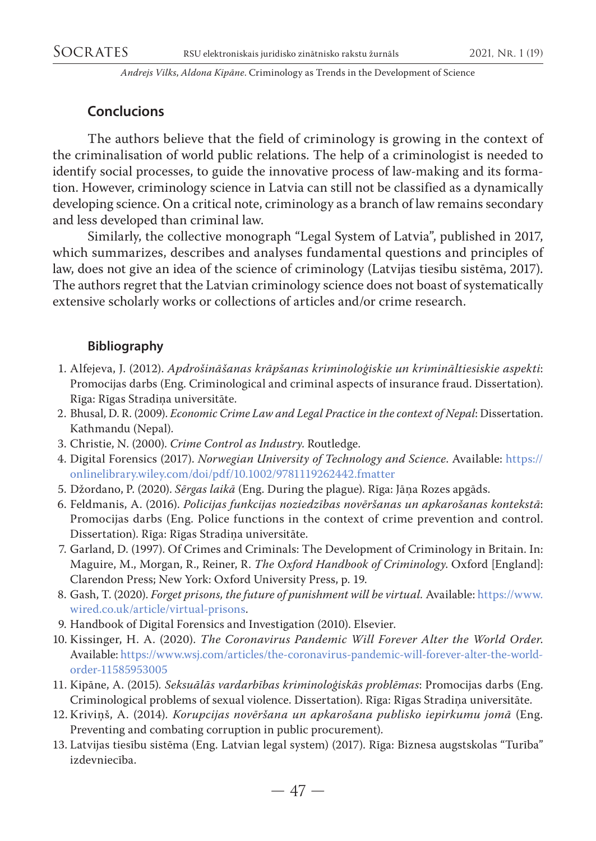# **Conclucions**

The authors believe that the field of criminology is growing in the context of the criminalisation of world public relations. The help of a criminologist is needed to identify social processes, to guide the innovative process of law-making and its formation. However, criminology science in Latvia can still not be classified as a dynamically developing science. On a critical note, criminology as a branch of law remains secondary and less developed than criminal law.

Similarly, the collective monograph "Legal System of Latvia", published in 2017, which summarizes, describes and analyses fundamental questions and principles of law, does not give an idea of the science of criminology (Latvijas tiesību sistēma, 2017). The authors regret that the Latvian criminology science does not boast of systematically extensive scholarly works or collections of articles and/or crime research.

## **Bibliography**

- 1. Alfejeva, J. (2012). *Apdrošināšanas krāpšanas kriminoloģiskie un krimināltiesiskie aspekti*: Promocijas darbs (Eng. Criminological and criminal aspects of insurance fraud. Dissertation). Rīga: Rīgas Stradiņa universitāte.
- 2. Bhusal, D. R. (2009). *Economic Crime Law and Legal Practice in the context of Nepal*: Dissertation. Kathmandu (Nepal).
- 3. Christie, N. (2000). *Crime Control as Industry*. Routledge.
- 4. Digital Forensics (2017). *Norwegian University of Technology and Science*. Available: [https://](https://onlinelibrary.wiley.com/doi/pdf/10.1002/9781119262442.fmatter) [onlinelibrary.wiley.com/doi/pdf/10.1002/9781119262442.fmatter](https://onlinelibrary.wiley.com/doi/pdf/10.1002/9781119262442.fmatter)
- 5. Džordano, P. (2020). *Sērgas laikā* (Eng. During the plague). Rīga: Jāņa Rozes apgāds.
- 6. Feldmanis, A. (2016). *Policijas funkcijas noziedzības novēršanas un apkarošanas kontekstā*: Promocijas darbs (Eng. Police functions in the context of crime prevention and control. Dissertation). Rīga: Rīgas Stradiņa universitāte.
- 7. Garland, D. (1997). Of Crimes and Criminals: The Development of Criminology in Britain. In: Maguire, M., Morgan, R., Reiner, R. *The Oxford Handbook of Criminology*. Oxford [England]: Clarendon Press; New York: Oxford University Press, p. 19.
- 8. Gash, T. (2020). *Forget prisons, the future of punishment will be virtual.* Available: [https://www.](https://www.wired.co.uk/article/virtual-prisons) [wired.co.uk/article/virtual-prisons.](https://www.wired.co.uk/article/virtual-prisons)
- 9. Handbook of Digital Forensics and Investigation (2010). Elsevier.
- 10. Kissinger, H. A. (2020). *The Coronavirus Pandemic Will Forever Alter the World Order*. Available: [https://www.wsj.com/articles/the-coronavirus-pandemic-will-forever-alter-the-world](https://www.wsj.com/articles/the-coronavirus-pandemic-will-forever-alter-the-world-order-11585953005)[order-11585953005](https://www.wsj.com/articles/the-coronavirus-pandemic-will-forever-alter-the-world-order-11585953005)
- 11. Kipāne, A. (2015)*. Seksuālās vardarbības kriminoloģiskās problēmas*: Promocijas darbs (Eng. Criminological problems of sexual violence. Dissertation). Rīga: Rīgas Stradiņa universitāte.
- 12. Kriviņš, A. (2014)*. Korupcijas novēršana un apkarošana publisko iepirkumu jomā* (Eng. Preventing and combating corruption in public procurement).
- 13. Latvijas tiesību sistēma (Eng. Latvian legal system) (2017). Rīga: Biznesa augstskolas "Turība" izdevniecība.